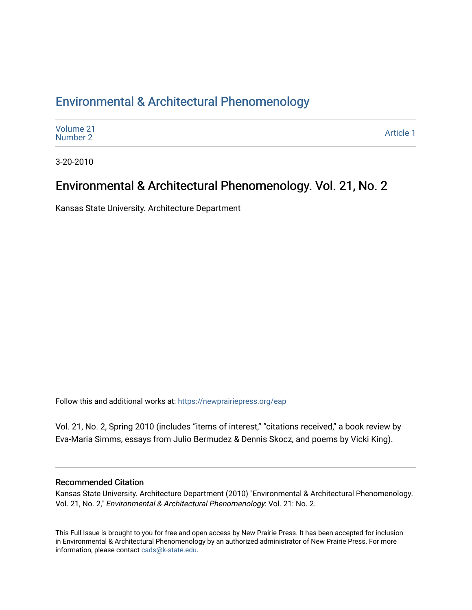#### [Environmental & Architectural Phenomenology](https://newprairiepress.org/eap)

| Volume 21<br>Number 2 | Article 1 |
|-----------------------|-----------|
|-----------------------|-----------|

3-20-2010

#### Environmental & Architectural Phenomenology. Vol. 21, No. 2

Kansas State University. Architecture Department

Follow this and additional works at: [https://newprairiepress.org/eap](https://newprairiepress.org/eap?utm_source=newprairiepress.org%2Feap%2Fvol21%2Fiss2%2F1&utm_medium=PDF&utm_campaign=PDFCoverPages) 

Vol. 21, No. 2, Spring 2010 (includes "items of interest," "citations received," a book review by Eva-Maria Simms, essays from Julio Bermudez & Dennis Skocz, and poems by Vicki King).

#### Recommended Citation

Kansas State University. Architecture Department (2010) "Environmental & Architectural Phenomenology. Vol. 21, No. 2," Environmental & Architectural Phenomenology: Vol. 21: No. 2.

This Full Issue is brought to you for free and open access by New Prairie Press. It has been accepted for inclusion in Environmental & Architectural Phenomenology by an authorized administrator of New Prairie Press. For more information, please contact [cads@k-state.edu](mailto:cads@k-state.edu).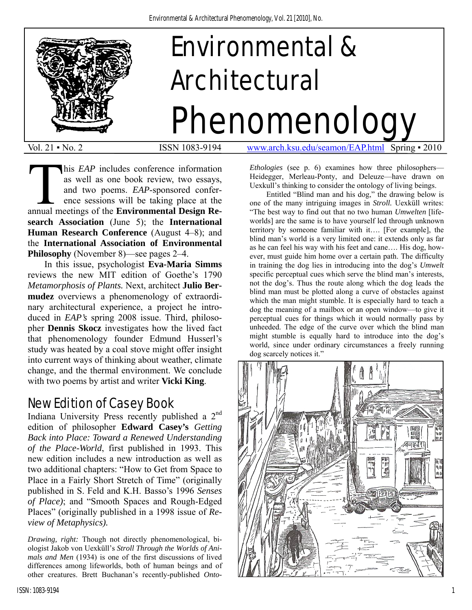

# Environmental & Architectural Phenomenology Vol. 21 ▪ No. 2ISSN 1083-9194 [www.arch.ksu.edu/seamon/EAP.html](http://www.arch.ksu.edu/seamon/EAP.html) Spring ▪ 2010

his *EAP* includes conference information as well as one book review, two essays, and two poems. *EAP*-sponsored conference sessions will be taking place at the This *EAP* includes conference information<br>as well as one book review, two essays,<br>and two poems. *EAP*-sponsored confer-<br>ence sessions will be taking place at the<br>annual meetings of the **Environmental Design Research Association** (June 5); the **International Human Research Conference** (August 4–8); and the **International Association of Environmental Philosophy** (November 8)—see pages 2–4.

In this issue, psychologist **Eva-Maria Simms** reviews the new MIT edition of Goethe's 1790 *Metamorphosis of Plants.* Next, architect **Julio Bermudez** overviews a phenomenology of extraordinary architectural experience, a project he introduced in *EAP's* spring 2008 issue. Third, philosopher **Dennis Skocz** investigates how the lived fact that phenomenology founder Edmund Husserl's study was heated by a coal stove might offer insight into current ways of thinking about weather, climate change, and the thermal environment. We conclude with two poems by artist and writer **Vicki King**.

### New Edition of Casey Book

Indiana University Press recently published a  $2<sup>nd</sup>$ edition of philosopher **Edward Casey's** *Getting Back into Place: Toward a Renewed Understanding of the Place-World*, first published in 1993. This new edition includes a new introduction as well as two additional chapters: "How to Get from Space to Place in a Fairly Short Stretch of Time" (originally published in S. Feld and K.H. Basso's 1996 *Senses of Place)*; and "Smooth Spaces and Rough-Edged Places" (originally published in a 1998 issue of *Review of Metaphysics).*

*Drawing, right:* Though not directly phenomenological, biologist Jakob von Uexküll's *Stroll Through the Worlds of Animals and Men* (1934) is one of the first discussions of lived differences among lifeworlds, both of human beings and of other creatures. Brett Buchanan's recently-published *Onto-* *Ethologies* (see p. 6) examines how three philosophers— Heidegger, Merleau-Ponty, and Deleuze—have drawn on

Uexkull's thinking to consider the ontology of living beings. Entitled "Blind man and his dog," the drawing below is one of the many intriguing images in *Stroll.* Uexküll writes: "The best way to find out that no two human *Umwelten* [lifeworlds] are the same is to have yourself led through unknown territory by someone familiar with it…. [For example], the blind man's world is a very limited one: it extends only as far as he can feel his way with his feet and cane…. His dog, however, must guide him home over a certain path. The difficulty in training the dog lies in introducing into the dog's *Umwelt* specific perceptual cues which serve the blind man's interests, not the dog's. Thus the route along which the dog leads the blind man must be plotted along a curve of obstacles against which the man might stumble. It is especially hard to teach a dog the meaning of a mailbox or an open window—to give it perceptual cues for things which it would normally pass by unheeded. The edge of the curve over which the blind man might stumble is equally hard to introduce into the dog's world, since under ordinary circumstances a freely running dog scarcely notices it."

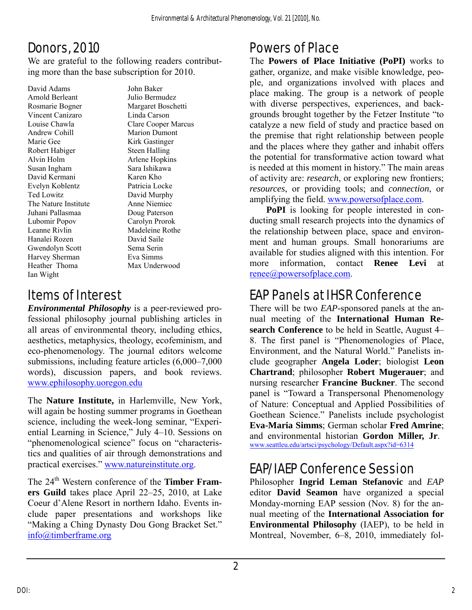## Donors, 2010

We are grateful to the following readers contributing more than the base subscription for 2010.

David Adams John Baker Arnold Berleant Julio Bermudez Rosmarie Bogner Margaret Boschetti Vincent Canizaro Linda Carson Andrew Cohill Marion Dumont Marie Gee Kirk Gastinger Robert Habiger Steen Halling Alvin Holm Arlene Hopkins Susan Ingham Sara Ishikawa David Kermani Karen Kho Evelyn Koblentz Patricia Locke Ted Lowitz David Murphy The Nature Institute Anne Niemiec Juhani Pallasmaa Doug Paterson Lubomir Popov Carolyn Prorok Leanne Rivlin Madeleine Rothe Hanalei Rozen David Saile Gwendolyn Scott Sema Serin Harvey Sherman Eva Simms Heather Thoma Max Underwood Ian Wight

Louise Chawla Clare Cooper Marcus

## Items of Interest

*Environmental Philosophy* is a peer-reviewed professional philosophy journal publishing articles in all areas of environmental theory, including ethics, aesthetics, metaphysics, theology, ecofeminism, and eco-phenomenology. The journal editors welcome submissions, including feature articles (6,000–7,000 words), discussion papers, and book reviews. [www.ephilosophy.uoregon.edu](http://www.ephilosophy.uoregon.edu/)

The **Nature Institute,** in Harlemville, New York, will again be hosting summer programs in Goethean science, including the week-long seminar, "Experiential Learning in Science," July 4–10. Sessions on "phenomenological science" focus on "characteristics and qualities of air through demonstrations and practical exercises." [www.natureinstitute.org](http://www.natureinstitute.org/).

The 24<sup>th</sup> Western conference of the **Timber Framers Guild** takes place April 22–25, 2010, at Lake Coeur d'Alene Resort in northern Idaho. Events include paper presentations and workshops like "Making a Ching Dynasty Dou Gong Bracket Set." [info@timberframe.org](mailto:info@timberframe.org)

## Powers of Place

The **Powers of Place Initiative (PoPI)** works to gather, organize, and make visible knowledge, people, and organizations involved with places and place making. The group is a network of people with diverse perspectives, experiences, and backgrounds brought together by the Fetzer Institute "to catalyze a new field of study and practice based on the premise that right relationship between people and the places where they gather and inhabit offers the potential for transformative action toward what is needed at this moment in history." The main areas of activity are: *research*, or exploring new frontiers; *resources*, or providing tools; and *connection*, or amplifying the field. [www.powersofplace.com](http://www.powersofplace.com/).

**PoPI** is looking for people interested in conducting small research projects into the dynamics of the relationship between place, space and environment and human groups. Small honorariums are available for studies aligned with this intention. For more information, contact **Renee Levi** at [renee@powersofplace.com.](mailto:renee@powersofplace.com)

## EAP Panels at IHSR Conference

There will be two *EAP-*sponsored panels at the annual meeting of the **International Human Research Conference** to be held in Seattle, August 4– 8. The first panel is "Phenomenologies of Place, Environment, and the Natural World." Panelists include geographer **Angela Loder**; biologist **Leon Chartrand**; philosopher **Robert Mugerauer**; and nursing researcher **Francine Buckner**. The second panel is "Toward a Transpersonal Phenomenology of Nature: Conceptual and Applied Possibilities of Goethean Science." Panelists include psychologist **Eva-Maria Simms**; German scholar **Fred Amrine**; and environmental historian **Gordon Miller, Jr**. [www.seattleu.edu/artsci/psychology/Default.aspx?id=6314](http://www.seattleu.edu/artsci/psychology/Default.aspx?id=6314)

## EAP/IAEP Conference Session

Philosopher **Ingrid Leman Stefanovic** and *EAP* editor **David Seamon** have organized a special Monday-morning EAP session (Nov. 8) for the annual meeting of the **International Association for Environmental Philosophy** (IAEP), to be held in Montreal, November, 6–8, 2010, immediately fol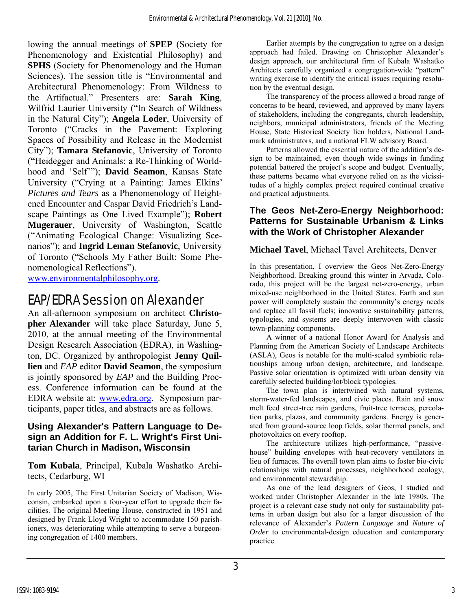lowing the annual meetings of **SPEP** (Society for Phenomenology and Existential Philosophy) and **SPHS** (Society for Phenomenology and the Human Sciences). The session title is "Environmental and Architectural Phenomenology: From Wildness to the Artifactual." Presenters are: **Sarah King**, Wilfrid Laurier University ("In Search of Wildness in the Natural City"); **Angela Loder**, University of Toronto ("Cracks in the Pavement: Exploring Spaces of Possibility and Release in the Modernist City"); **Tamara Stefanovic**, University of Toronto ("Heidegger and Animals: a Re-Thinking of Worldhood and 'Self'"); **David Seamon**, Kansas State University ("Crying at a Painting: James Elkins' *Pictures and Tears* as a Phenomenology of Heightened Encounter and Caspar David Friedrich's Landscape Paintings as One Lived Example"); **Robert Mugerauer**, University of Washington, Seattle ("Animating Ecological Change: Visualizing Scenarios"); and **Ingrid Leman Stefanovic**, University of Toronto ("Schools My Father Built: Some Phenomenological Reflections").

[www.environmentalphilosophy.org.](http://www.environmentalphilosophy.org/)

## EAP/EDRA Session on Alexander

An all-afternoon symposium on architect **Christopher Alexander** will take place Saturday, June 5, 2010, at the annual meeting of the Environmental Design Research Association (EDRA), in Washington, DC. Organized by anthropologist **Jenny Quillien** and *EAP* editor **David Seamon**, the symposium is jointly sponsored by *EAP* and the Building Process. Conference information can be found at the EDRA website at: [www.edra.org](http://www.edra.org/). Symposium participants, paper titles, and abstracts are as follows.

#### **Using Alexander's Pattern Language to Design an Addition for F. L. Wright's First Unitarian Church in Madison, Wisconsin**

**Tom Kubala**, Principal, Kubala Washatko Architects, Cedarburg, WI

In early 2005, The First Unitarian Society of Madison, Wisconsin, embarked upon a four-year effort to upgrade their facilities. The original Meeting House, constructed in 1951 and designed by Frank Lloyd Wright to accommodate 150 parishioners, was deteriorating while attempting to serve a burgeoning congregation of 1400 members.

Earlier attempts by the congregation to agree on a design approach had failed. Drawing on Christopher Alexander's design approach, our architectural firm of Kubala Washatko Architects carefully organized a congregation-wide "pattern" writing exercise to identify the critical issues requiring resolution by the eventual design.

The transparency of the process allowed a broad range of concerns to be heard, reviewed, and approved by many layers of stakeholders, including the congregants, church leadership, neighbors, municipal administrators, friends of the Meeting House, State Historical Society lien holders, National Landmark administrators, and a national FLW advisory Board.

Patterns allowed the essential nature of the addition's design to be maintained, even though wide swings in funding potential battered the project's scope and budget. Eventually, these patterns became what everyone relied on as the vicissitudes of a highly complex project required continual creative and practical adjustments.

#### **The Geos Net-Zero-Energy Neighborhood: Patterns for Sustainable Urbanism & Links with the Work of Christopher Alexander**

**Michael Tavel**, Michael Tavel Architects, Denver

In this presentation, I overview the Geos Net-Zero-Energy Neighborhood. Breaking ground this winter in Arvada, Colorado, this project will be the largest net-zero-energy, urban mixed-use neighborhood in the United States. Earth and sun power will completely sustain the community's energy needs and replace all fossil fuels; innovative sustainability patterns, typologies, and systems are deeply interwoven with classic town-planning components.

A winner of a national Honor Award for Analysis and Planning from the American Society of Landscape Architects (ASLA), Geos is notable for the multi-scaled symbiotic relationships among urban design, architecture, and landscape. Passive solar orientation is optimized with urban density via carefully selected building/lot/block typologies.

The town plan is intertwined with natural systems, storm-water-fed landscapes, and civic places. Rain and snow melt feed street-tree rain gardens, fruit-tree terraces, percolation parks, plazas, and community gardens. Energy is generated from ground-source loop fields, solar thermal panels, and photovoltaics on every rooftop.

The architecture utilizes high-performance, "passivehouse" building envelopes with heat-recovery ventilators in lieu of furnaces. The overall town plan aims to foster bio-civic relationships with natural processes, neighborhood ecology, and environmental stewardship.

As one of the lead designers of Geos, I studied and worked under Christopher Alexander in the late 1980s. The project is a relevant case study not only for sustainability patterns in urban design but also for a larger discussion of the relevance of Alexander's *Pattern Language* and *Nature of Order* to environmental-design education and contemporary practice.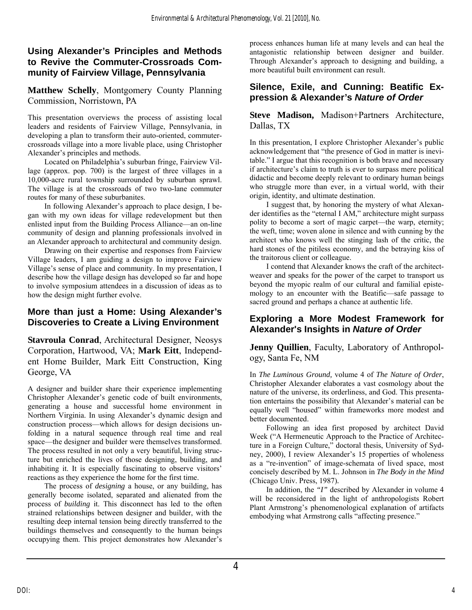#### **Using Alexander's Principles and Methods to Revive the Commuter-Crossroads Community of Fairview Village, Pennsylvania**

**Matthew Schelly**, Montgomery County Planning Commission, Norristown, PA

This presentation overviews the process of assisting local leaders and residents of Fairview Village, Pennsylvania, in developing a plan to transform their auto-oriented, commutercrossroads village into a more livable place, using Christopher Alexander's principles and methods.

Located on Philadelphia's suburban fringe, Fairview Village (approx. pop. 700) is the largest of three villages in a 10,000-acre rural township surrounded by suburban sprawl. The village is at the crossroads of two two-lane commuter routes for many of these suburbanites.

In following Alexander's approach to place design, I began with my own ideas for village redevelopment but then enlisted input from the Building Process Alliance—an on-line community of design and planning professionals involved in an Alexander approach to architectural and community design.

Drawing on their expertise and responses from Fairview Village leaders, I am guiding a design to improve Fairview Village's sense of place and community. In my presentation, I describe how the village design has developed so far and hope to involve symposium attendees in a discussion of ideas as to how the design might further evolve.

#### **More than just a Home: Using Alexander's Discoveries to Create a Living Environment**

**Stavroula Conrad**, Architectural Designer, Neosys Corporation, Hartwood, VA; **Mark Eitt**, Independent Home Builder, Mark Eitt Construction, King George, VA

A designer and builder share their experience implementing Christopher Alexander's genetic code of built environments, generating a house and successful home environment in Northern Virginia. In using Alexander's dynamic design and construction process—which allows for design decisions unfolding in a natural sequence through real time and real space—the designer and builder were themselves transformed. The process resulted in not only a very beautiful, living structure but enriched the lives of those designing, building, and inhabiting it. It is especially fascinating to observe visitors' reactions as they experience the home for the first time.

The process of *designing* a house, or any building, has generally become isolated, separated and alienated from the process of *building* it. This disconnect has led to the often strained relationships between designer and builder, with the resulting deep internal tension being directly transferred to the buildings themselves and consequently to the human beings occupying them. This project demonstrates how Alexander's

process enhances human life at many levels and can heal the antagonistic relationship between designer and builder. Through Alexander's approach to designing and building, a more beautiful built environment can result.

#### **Silence, Exile, and Cunning: Beatific Expression & Alexander's** *Nature of Order*

#### **Steve Madison,** Madison+Partners Architecture, Dallas, TX

In this presentation, I explore Christopher Alexander's public acknowledgement that "the presence of God in matter is inevitable." I argue that this recognition is both brave and necessary if architecture's claim to truth is ever to surpass mere political didactic and become deeply relevant to ordinary human beings who struggle more than ever, in a virtual world, with their origin, identity, and ultimate destination.

I suggest that, by honoring the mystery of what Alexander identifies as the "eternal I AM," architecture might surpass polity to become a sort of magic carpet—the warp, eternity; the weft, time; woven alone in silence and with cunning by the architect who knows well the stinging lash of the critic, the hard stones of the pitiless economy, and the betraying kiss of the traitorous client or colleague.

I contend that Alexander knows the craft of the architectweaver and speaks for the power of the carpet to transport us beyond the myopic realm of our cultural and familial epistemology to an encounter with the Beatific—safe passage to sacred ground and perhaps a chance at authentic life.

#### **Exploring a More Modest Framework for Alexander's Insights in** *Nature of Order*

**Jenny Quillien**, Faculty, Laboratory of Anthropology, Santa Fe, NM

In *The Luminous Ground,* volume 4 of *The Nature of Order*, Christopher Alexander elaborates a vast cosmology about the nature of the universe, its orderliness, and God. This presentation entertains the possibility that Alexander's material can be equally well "housed" within frameworks more modest and better documented.

Following an idea first proposed by architect David Week ("A Hermeneutic Approach to the Practice of Architecture in a Foreign Culture," doctoral thesis, University of Sydney, 2000), I review Alexander's 15 properties of wholeness as a "re-invention" of image-schemata of lived space, most concisely described by M. L. Johnson in *The Body in the Mind*  (Chicago Univ. Press, 1987)*.*

In addition, the *"I"* described by Alexander in volume 4 will be reconsidered in the light of anthropologists Robert Plant Armstrong's phenomenological explanation of artifacts embodying what Armstrong calls "affecting presence."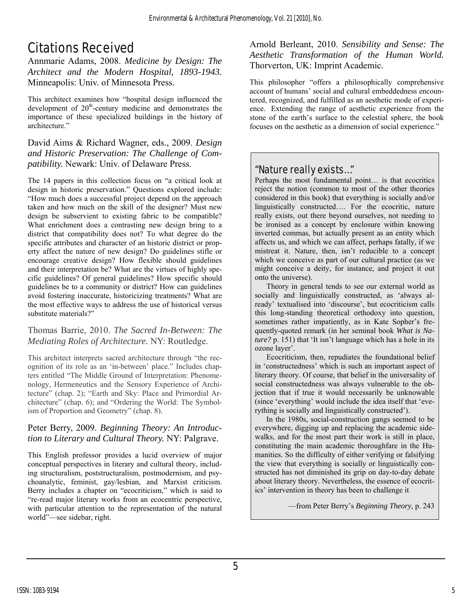## Citations Received

Annmarie Adams, 2008. *Medicine by Design: The Architect and the Modern Hospital, 1893-1943.*  Minneapolis: Univ. of Minnesota Press.

This architect examines how "hospital design influenced the development of  $20<sup>th</sup>$ -century medicine and demonstrates the importance of these specialized buildings in the history of architecture."

David Aims & Richard Wagner, eds., 2009. *Design and Historic Preservation: The Challenge of Compatibility.* Newark: Univ. of Delaware Press.

The 14 papers in this collection focus on "a critical look at design in historic preservation." Questions explored include: "How much does a successful project depend on the approach taken and how much on the skill of the designer? Must new design be subservient to existing fabric to be compatible? What enrichment does a contrasting new design bring to a district that compatibility does not? To what degree do the specific attributes and character of an historic district or property affect the nature of new design? Do guidelines stifle or encourage creative design? How flexible should guidelines and their interpretation be? What are the virtues of highly specific guidelines? Of general guidelines? How specific should guidelines be to a community or district? How can guidelines avoid fostering inaccurate, historicizing treatments? What are the most effective ways to address the use of historical versus substitute materials?"

Thomas Barrie, 2010. *The Sacred In-Between: The Mediating Roles of Architecture.* NY: Routledge.

This architect interprets sacred architecture through "the recognition of its role as an 'in-between' place." Includes chapters entitled "The Middle Ground of Interpretation: Phenomenology, Hermeneutics and the Sensory Experience of Architecture" (chap. 2); "Earth and Sky: Place and Primordial Architecture" (chap. 6); and "Ordering the World: The Symbolism of Proportion and Geometry" (chap. 8).

#### Peter Berry, 2009. *Beginning Theory: An Introduction to Literary and Cultural Theory.* NY: Palgrave.

This English professor provides a lucid overview of major conceptual perspectives in literary and cultural theory, including structuralism, poststructuralism, postmodernism, and psychoanalytic, feminist, gay/lesbian, and Marxist criticism. Berry includes a chapter on "ecocriticism," which is said to "re-read major literary works from an ecocentric perspective, with particular attention to the representation of the natural world"—see sidebar, right.

Arnold Berleant, 2010. *Sensibility and Sense: The Aesthetic Transformation of the Human World.*  Thorverton, UK: Imprint Academic.

This philosopher "offers a philosophically comprehensive account of humans' social and cultural embeddedness encountered, recognized, and fulfilled as an aesthetic mode of experience. Extending the range of aesthetic experience from the stone of the earth's surface to the celestial sphere, the book focuses on the aesthetic as a dimension of social experience."

#### "Nature really exists…"

Perhaps the most fundamental point… is that ecocritics reject the notion (common to most of the other theories considered in this book) that everything is socially and/or linguistically constructed…. For the ecocritic, nature really exists, out there beyond ourselves, not needing to be ironised as a concept by enclosure within knowing inverted commas, but actually present as an entity which affects us, and which we can affect, perhaps fatally, if we mistreat it. Nature, then, isn't reducible to a concept which we conceive as part of our cultural practice (as we might conceive a deity, for instance, and project it out onto the universe).

 Theory in general tends to see our external world as socially and linguistically constructed, as 'always already' textualised into 'discourse', but ecocriticism calls this long-standing theoretical orthodoxy into question, sometimes rather impatiently, as in Kate Sopher's frequently-quoted remark (in her seminal book *What is Nature?* p. 151) that 'It isn't language which has a hole in its ozone layer'.

 Ecocriticism, then, repudiates the foundational belief in 'constructedness' which is such an important aspect of literary theory. Of course, that belief in the universality of social constructedness was always vulnerable to the objection that if true it would necessarily be unknowable (since 'everything' would include the idea itself that 'everything is socially and linguistically constructed').

 In the 1980s, social-construction gangs seemed to be everywhere, digging up and replacing the academic sidewalks, and for the most part their work is still in place, constituting the main academic thoroughfare in the Humanities. So the difficulty of either verifying or falsifying the view that everything is socially or linguistically constructed has not diminished its grip on day-to-day debate about literary theory. Nevertheless, the essence of ecocritics' intervention in theory has been to challenge it

—from Peter Berry's *Beginning Theory,* p. 243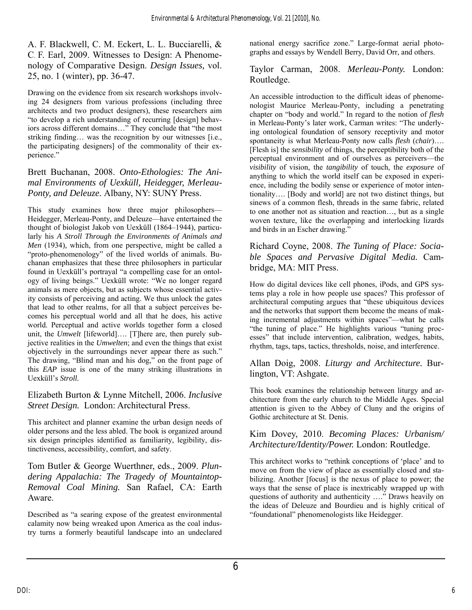A. F. Blackwell, C. M. Eckert, L. L. Bucciarelli, & C. F. Earl, 2009. Witnesses to Design: A Phenomenology of Comparative Design. *Design Issues,* vol. 25, no. 1 (winter), pp. 36-47.

Drawing on the evidence from six research workshops involving 24 designers from various professions (including three architects and two product designers), these researchers aim "to develop a rich understanding of recurring [design] behaviors across different domains…" They conclude that "the most striking finding… was the recognition by our witnesses [i.e., the participating designers] of the commonality of their experience."

#### Brett Buchanan, 2008. *Onto-Ethologies: The Animal Environments of Uexküll, Heidegger, Merleau-Ponty, and Deleuze.* Albany, NY: SUNY Press.

This study examines how three major philosophers— Heidegger, Merleau-Ponty, and Deleuze—have entertained the thought of biologist Jakob von Uexküll (1864–1944), particularly his *A Stroll Through the Environments of Animals and Men* (1934)*,* which, from one perspective, might be called a "proto-phenomenology" of the lived worlds of animals. Buchanan emphasizes that these three philosophers in particular found in Uexküll's portrayal "a compelling case for an ontology of living beings." Uexküll wrote: "We no longer regard animals as mere objects, but as subjects whose essential activity consists of perceiving and acting. We thus unlock the gates that lead to other realms, for all that a subject perceives becomes his perceptual world and all that he does, his active world. Perceptual and active worlds together form a closed unit, the *Umwelt* [lifeworld].... [T]here are, then purely subjective realities in the *Umwelten*; and even the things that exist objectively in the surroundings never appear there as such." The drawing, "Blind man and his dog," on the front page of this *EAP* issue is one of the many striking illustrations in Uexküll's *Stroll.* 

#### Elizabeth Burton & Lynne Mitchell, 2006. *Inclusive Street Design.* London: Architectural Press.

This architect and planner examine the urban design needs of older persons and the less abled. The book is organized around six design principles identified as familiarity, legibility, distinctiveness, accessibility, comfort, and safety.

#### Tom Butler & George Wuerthner, eds., 2009. *Plundering Appalachia: The Tragedy of Mountaintop-Removal Coal Mining.* San Rafael, CA: Earth Aware.

Described as "a searing expose of the greatest environmental calamity now being wreaked upon America as the coal industry turns a formerly beautiful landscape into an undeclared

national energy sacrifice zone." Large-format aerial photographs and essays by Wendell Berry, David Orr, and others.

#### Taylor Carman, 2008. *Merleau-Ponty.* London: Routledge.

An accessible introduction to the difficult ideas of phenomenologist Maurice Merleau-Ponty, including a penetrating chapter on "body and world." In regard to the notion of *flesh* in Merleau-Ponty's later work, Carman writes: "The underlying ontological foundation of sensory receptivity and motor spontaneity is what Merleau-Ponty now calls *flesh* (*chair*)…. [Flesh is] the *sensibility* of things, the perceptibility both of the perceptual environment and of ourselves as perceivers—the *visibility* of vision, the *tangibility* of touch, the *exposure* of anything to which the world itself can be exposed in experience, including the bodily sense or experience of motor intentionality…. [Body and world] are not two distinct things, but sinews of a common flesh, threads in the same fabric, related to one another not as situation and reaction…, but as a single woven texture, like the overlapping and interlocking lizards and birds in an Escher drawing."

#### Richard Coyne, 2008. *The Tuning of Place: Sociable Spaces and Pervasive Digital Media.* Cambridge, MA: MIT Press.

How do digital devices like cell phones, iPods, and GPS systems play a role in how people use spaces? This professor of architectural computing argues that "these ubiquitous devices and the networks that support them become the means of making incremental adjustments within spaces"—what he calls "the tuning of place." He highlights various "tuning processes" that include intervention, calibration, wedges, habits, rhythm, tags, taps, tactics, thresholds, noise, and interference.

#### Allan Doig, 2008. *Liturgy and Architecture.* Burlington, VT: Ashgate.

This book examines the relationship between liturgy and architecture from the early church to the Middle Ages. Special attention is given to the Abbey of Cluny and the origins of Gothic architecture at St. Denis.

#### Kim Dovey, 2010. *Becoming Places: Urbanism/ Architecture/Identity/Power.* London: Routledge.

This architect works to "rethink conceptions of 'place' and to move on from the view of place as essentially closed and stabilizing. Another [focus] is the nexus of place to power; the ways that the sense of place is inextricably wrapped up with questions of authority and authenticity …." Draws heavily on the ideas of Deleuze and Bourdieu and is highly critical of "foundational" phenomenologists like Heidegger.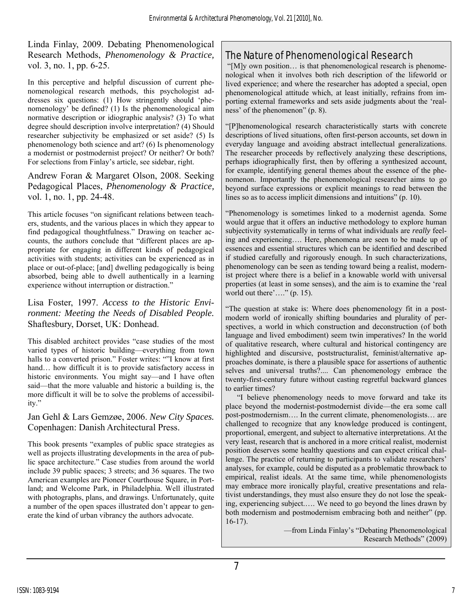Linda Finlay, 2009. Debating Phenomenological Research Methods, *Phenomenology & Practice,*  vol. 3, no. 1, pp. 6-25.

In this perceptive and helpful discussion of current phenomenological research methods, this psychologist addresses six questions: (1) How stringently should 'phenomenology' be defined? (1) Is the phenomenological aim normative description or idiographic analysis? (3) To what degree should description involve interpretation? (4) Should researcher subjectivity be emphasized or set aside? (5) Is phenomenology both science and art? (6) Is phenomenology a modernist or postmodernist project? Or neither? Or both? For selections from Finlay's article, see sidebar, right.

Andrew Foran & Margaret Olson, 2008. Seeking Pedagogical Places, *Phenomenology & Practice,* vol. 1, no. 1, pp. 24-48.

This article focuses "on significant relations between teachers, students, and the various places in which they appear to find pedagogical thoughtfulness." Drawing on teacher accounts, the authors conclude that "different places are appropriate for engaging in different kinds of pedagogical activities with students; activities can be experienced as in place or out-of-place; [and] dwelling pedagogically is being absorbed, being able to dwell authentically in a learning experience without interruption or distraction."

Lisa Foster, 1997. *Access to the Historic Environment: Meeting the Needs of Disabled People.*  Shaftesbury, Dorset, UK: Donhead.

This disabled architect provides "case studies of the most varied types of historic building—everything from town halls to a converted prison." Foster writes: ""I know at first hand... how difficult it is to provide satisfactory access in historic environments. You might say—and I have often said—that the more valuable and historic a building is, the more difficult it will be to solve the problems of accessibility."

Jan Gehl & Lars Gemzøe, 2006. *New City Spaces.*  Copenhagen: Danish Architectural Press.

This book presents "examples of public space strategies as well as projects illustrating developments in the area of public space architecture." Case studies from around the world include 39 public spaces; 3 streets; and 36 squares. The two American examples are Pioneer Courthouse Square, in Portland; and Welcome Park, in Philadelphia. Well illustrated with photographs, plans, and drawings. Unfortunately, quite a number of the open spaces illustrated don't appear to generate the kind of urban vibrancy the authors advocate.

#### The Nature of Phenomenological Research

 "[M]y own position… is that phenomenological research is phenomenological when it involves both rich description of the lifeworld or lived experience; and where the researcher has adopted a special, open phenomenological attitude which, at least initially, refrains from importing external frameworks and sets aside judgments about the 'realness' of the phenomenon" (p. 8).

"[P]henomenological research characteristically starts with concrete descriptions of lived situations, often first-person accounts, set down in everyday language and avoiding abstract intellectual generalizations. The researcher proceeds by reflectively analyzing these descriptions, perhaps idiographically first, then by offering a synthesized account, for example, identifying general themes about the essence of the phenomenon. Importantly the phenomenological researcher aims to go beyond surface expressions or explicit meanings to read between the lines so as to access implicit dimensions and intuitions" (p. 10).

"Phenomenology is sometimes linked to a modernist agenda. Some would argue that it offers an inductive methodology to explore human subjectivity systematically in terms of what individuals are *really* feeling and experiencing…. Here, phenomena are seen to be made up of essences and essential structures which can be identified and described if studied carefully and rigorously enough. In such characterizations, phenomenology can be seen as tending toward being a realist, modernist project where there is a belief in a knowable world with universal properties (at least in some senses), and the aim is to examine the 'real world out there'…." (p. 15).

"The question at stake is: Where does phenomenology fit in a postmodern world of ironically shifting boundaries and plurality of perspectives, a world in which construction and deconstruction (of both language and lived embodiment) seem twin imperatives? In the world of qualitative research, where cultural and historical contingency are highlighted and discursive, poststructuralist, feminist/alternative approaches dominate, is there a plausible space for assertions of authentic selves and universal truths?.... Can phenomenology embrace the twenty-first-century future without casting regretful backward glances to earlier times?

 "I believe phenomenology needs to move forward and take its place beyond the modernist-postmodernist divide—the era some call post-postmodernism…. In the current climate, phenomenologists… are challenged to recognize that any knowledge produced is contingent, proportional, emergent, and subject to alternative interpretations. At the very least, research that is anchored in a more critical realist, modernist position deserves some healthy questions and can expect critical challenge. The practice of returning to participants to validate researchers' analyses, for example, could be disputed as a problematic throwback to empirical, realist ideals. At the same time, while phenomenologists may embrace more ironically playful, creative presentations and relativist understandings, they must also ensure they do not lose the speaking, experiencing subject.…. We need to go beyond the lines drawn by both modernism and postmodernism embracing both and neither" (pp. 16-17).

—from Linda Finlay's "Debating Phenomenological Research Methods" (2009)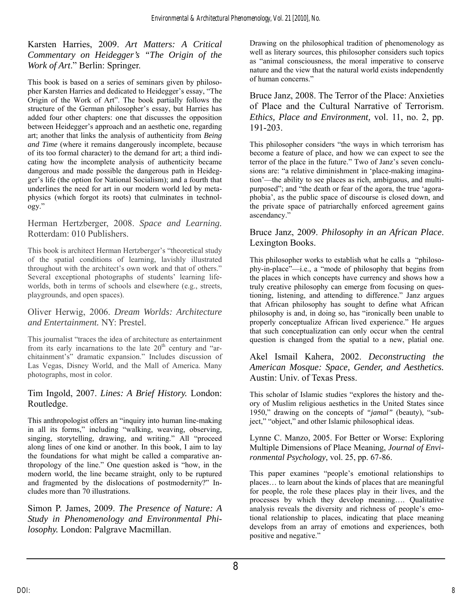Karsten Harries, 2009. *Art Matters: A Critical Commentary on Heidegger's "The Origin of the Work of Art*." Berlin: Springer.

This book is based on a series of seminars given by philosopher Karsten Harries and dedicated to Heidegger's essay, "The Origin of the Work of Art". The book partially follows the structure of the German philosopher's essay, but Harries has added four other chapters: one that discusses the opposition between Heidegger's approach and an aesthetic one, regarding art; another that links the analysis of authenticity from *Being and Time* (where it remains dangerously incomplete, because of its too formal character) to the demand for art; a third indicating how the incomplete analysis of authenticity became dangerous and made possible the dangerous path in Heidegger's life (the option for National Socialism); and a fourth that underlines the need for art in our modern world led by metaphysics (which forgot its roots) that culminates in technology."

Herman Hertzberger, 2008. *Space and Learning.*  Rotterdam: 010 Publishers.

This book is architect Herman Hertzberger's "theoretical study of the spatial conditions of learning, lavishly illustrated throughout with the architect's own work and that of others." Several exceptional photographs of students' learning lifeworlds, both in terms of schools and elsewhere (e.g., streets, playgrounds, and open spaces).

Oliver Herwig, 2006. *Dream Worlds: Architecture and Entertainment.* NY: Prestel.

This journalist "traces the idea of architecture as entertainment from its early incarnations to the late  $20<sup>th</sup>$  century and "architainment's" dramatic expansion." Includes discussion of Las Vegas, Disney World, and the Mall of America. Many photographs, most in color.

#### Tim Ingold, 2007. *Lines: A Brief History.* London: Routledge.

This anthropologist offers an "inquiry into human line-making in all its forms," including "walking, weaving, observing, singing, storytelling, drawing, and writing." All "proceed along lines of one kind or another. In this book, I aim to lay the foundations for what might be called a comparative anthropology of the line." One question asked is "how, in the modern world, the line became straight, only to be ruptured and fragmented by the dislocations of postmodernity?" Includes more than 70 illustrations.

Simon P. James, 2009. *The Presence of Nature: A Study in Phenomenology and Environmental Philosophy.* London: Palgrave Macmillan.

Drawing on the philosophical tradition of phenomenology as well as literary sources, this philosopher considers such topics as "animal consciousness, the moral imperative to conserve nature and the view that the natural world exists independently of human concerns."

Bruce Janz, 2008. The Terror of the Place: Anxieties of Place and the Cultural Narrative of Terrorism. *Ethics, Place and Environment,* vol. 11, no. 2, pp. 191-203.

This philosopher considers "the ways in which terrorism has become a feature of place, and how we can expect to see the terror of the place in the future." Two of Janz's seven conclusions are: "a relative diminishment in 'place-making imagination'—the ability to see places as rich, ambiguous, and multipurposed"; and "the death or fear of the agora, the true 'agoraphobia', as the public space of discourse is closed down, and the private space of patriarchally enforced agreement gains ascendancy."

#### Bruce Janz, 2009. *Philosophy in an African Place*. Lexington Books.

This philosopher works to establish what he calls a "philosophy-in-place"—i.e., a "mode of philosophy that begins from the places in which concepts have currency and shows how a truly creative philosophy can emerge from focusing on questioning, listening, and attending to difference." Janz argues that African philosophy has sought to define what African philosophy is and, in doing so, has "ironically been unable to properly conceptualize African lived experience." He argues that such conceptualization can only occur when the central question is changed from the spatial to a new, platial one.

Akel Ismail Kahera, 2002. *Deconstructing the American Mosque: Space, Gender, and Aesthetics.*  Austin: Univ. of Texas Press.

This scholar of Islamic studies "explores the history and theory of Muslim religious aesthetics in the United States since 1950," drawing on the concepts of *"jamal"* (beauty), "subject," "object," and other Islamic philosophical ideas.

Lynne C. Manzo, 2005. For Better or Worse: Exploring Multiple Dimensions of Place Meaning, *Journal of Environmental Psychology,* vol. 25, pp. 67-86.

This paper examines "people's emotional relationships to places… to learn about the kinds of places that are meaningful for people, the role these places play in their lives, and the processes by which they develop meaning…. Qualitative analysis reveals the diversity and richness of people's emotional relationship to places, indicating that place meaning develops from an array of emotions and experiences, both positive and negative."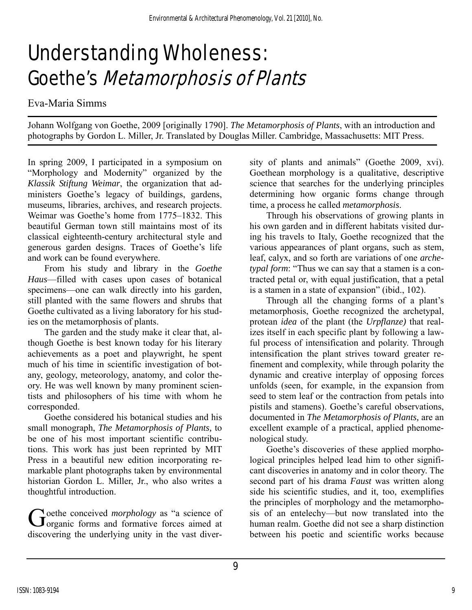# Understanding Wholeness: Goethe's Metamorphosis of Plants

#### Eva-Maria Simms

Johann Wolfgang von Goethe, 2009 [originally 1790]. *The Metamorphosis of Plants*, with an introduction and photographs by Gordon L. Miller, Jr. Translated by Douglas Miller. Cambridge, Massachusetts: MIT Press.

In spring 2009, I participated in a symposium on "Morphology and Modernity" organized by the *Klassik Stiftung Weimar*, the organization that administers Goethe's legacy of buildings, gardens, museums, libraries, archives, and research projects. Weimar was Goethe's home from 1775–1832. This beautiful German town still maintains most of its classical eighteenth-century architectural style and generous garden designs. Traces of Goethe's life and work can be found everywhere.

From his study and library in the *Goethe Haus*—filled with cases upon cases of botanical specimens—one can walk directly into his garden, still planted with the same flowers and shrubs that Goethe cultivated as a living laboratory for his studies on the metamorphosis of plants.

The garden and the study make it clear that, although Goethe is best known today for his literary achievements as a poet and playwright, he spent much of his time in scientific investigation of botany, geology, meteorology, anatomy, and color theory. He was well known by many prominent scientists and philosophers of his time with whom he corresponded.

Goethe considered his botanical studies and his small monograph, *The Metamorphosis of Plants,* to be one of his most important scientific contributions. This work has just been reprinted by MIT Press in a beautiful new edition incorporating remarkable plant photographs taken by environmental historian Gordon L. Miller, Jr., who also writes a thoughtful introduction.

oethe conceived *morphology* as "a science of Goethe conceived morphology as "a science of organic forms and formative forces aimed at discovering the underlying unity in the vast diversity of plants and animals" (Goethe 2009, xvi). Goethean morphology is a qualitative, descriptive science that searches for the underlying principles determining how organic forms change through time, a process he called *metamorphosis*.

Through his observations of growing plants in his own garden and in different habitats visited during his travels to Italy, Goethe recognized that the various appearances of plant organs, such as stem, leaf, calyx, and so forth are variations of one *archetypal form*: "Thus we can say that a stamen is a contracted petal or, with equal justification, that a petal is a stamen in a state of expansion" (ibid., 102).

Through all the changing forms of a plant's metamorphosis, Goethe recognized the archetypal, protean *idea* of the plant (the *Urpflanze)* that realizes itself in each specific plant by following a lawful process of intensification and polarity. Through intensification the plant strives toward greater refinement and complexity, while through polarity the dynamic and creative interplay of opposing forces unfolds (seen, for example, in the expansion from seed to stem leaf or the contraction from petals into pistils and stamens). Goethe's careful observations, documented in *The Metamorphosis of Plants,* are an excellent example of a practical, applied phenomenological study.

Goethe's discoveries of these applied morphological principles helped lead him to other significant discoveries in anatomy and in color theory. The second part of his drama *Faust* was written along side his scientific studies, and it, too, exemplifies the principles of morphology and the metamorphosis of an entelechy—but now translated into the human realm. Goethe did not see a sharp distinction between his poetic and scientific works because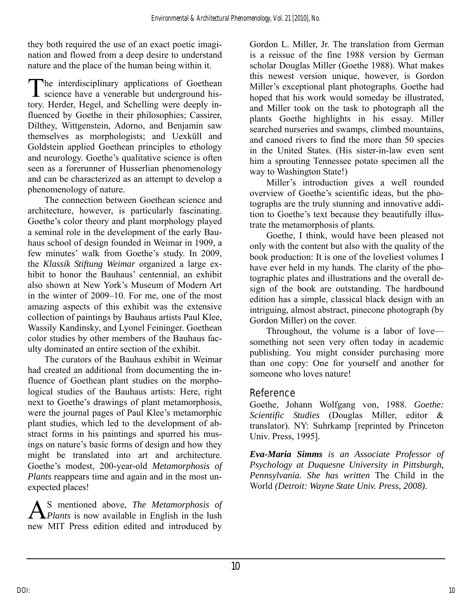they both required the use of an exact poetic imagination and flowed from a deep desire to understand nature and the place of the human being within it.

he interdisciplinary applications of Goethean The interdisciplinary applications of Goethean<br>science have a venerable but underground history. Herder, Hegel, and Schelling were deeply influenced by Goethe in their philosophies; Cassirer, Dilthey, Wittgenstein, Adorno, and Benjamin saw themselves as morphologists; and Uexküll and Goldstein applied Goethean principles to ethology and neurology. Goethe's qualitative science is often seen as a forerunner of Husserlian phenomenology and can be characterized as an attempt to develop a phenomenology of nature.

The connection between Goethean science and architecture, however, is particularly fascinating. Goethe's color theory and plant morphology played a seminal role in the development of the early Bauhaus school of design founded in Weimar in 1909, a few minutes' walk from Goethe's study. In 2009, the *Klassik Stiftung Weimar* organized a large exhibit to honor the Bauhaus' centennial, an exhibit also shown at New York's Museum of Modern Art in the winter of 2009–10. For me, one of the most amazing aspects of this exhibit was the extensive collection of paintings by Bauhaus artists Paul Klee, Wassily Kandinsky, and Lyonel Feininger. Goethean color studies by other members of the Bauhaus faculty dominated an entire section of the exhibit.

The curators of the Bauhaus exhibit in Weimar had created an additional from documenting the influence of Goethean plant studies on the morphological studies of the Bauhaus artists: Here, right next to Goethe's drawings of plant metamorphosis, were the journal pages of Paul Klee's metamorphic plant studies, which led to the development of abstract forms in his paintings and spurred his musings on nature's basic forms of design and how they might be translated into art and architecture. Goethe's modest, 200-year-old *Metamorphosis of Plants* reappears time and again and in the most unexpected places!

S mentioned above, *The Metamorphosis of*  **A**S mentioned above, *The Metamorphosis of Plants* is now available in English in the lush new MIT Press edition edited and introduced by

Gordon L. Miller, Jr. The translation from German is a reissue of the fine 1988 version by German scholar Douglas Miller (Goethe 1988). What makes this newest version unique, however, is Gordon Miller's exceptional plant photographs. Goethe had hoped that his work would someday be illustrated, and Miller took on the task to photograph all the plants Goethe highlights in his essay. Miller searched nurseries and swamps, climbed mountains, and canoed rivers to find the more than 50 species in the United States. (His sister-in-law even sent him a sprouting Tennessee potato specimen all the way to Washington State!)

Miller's introduction gives a well rounded overview of Goethe's scientific ideas, but the photographs are the truly stunning and innovative addition to Goethe's text because they beautifully illustrate the metamorphosis of plants.

Goethe, I think, would have been pleased not only with the content but also with the quality of the book production: It is one of the loveliest volumes I have ever held in my hands. The clarity of the photographic plates and illustrations and the overall design of the book are outstanding. The hardbound edition has a simple, classical black design with an intriguing, almost abstract, pinecone photograph (by Gordon Miller) on the cover.

Throughout, the volume is a labor of love something not seen very often today in academic publishing. You might consider purchasing more than one copy: One for yourself and another for someone who loves nature!

#### Reference

Goethe, Johann Wolfgang von, 1988. *Goethe: Scientific Studies* (Douglas Miller, editor & translator). NY: Suhrkamp [reprinted by Princeton Univ. Press, 1995].

*Eva-Maria Simms is an Associate Professor of Psychology at Duquesne University in Pittsburgh, Pennsylvania. She has written* The Child in the World *(Detroit: Wayne State Univ. Press, 2008).*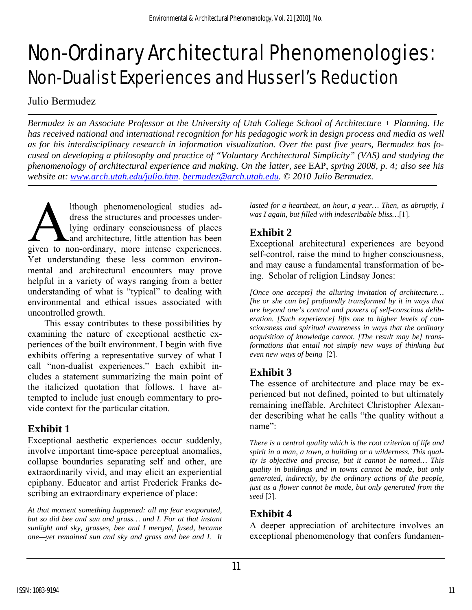## Non-Ordinary Architectural Phenomenologies: Non-Dualist Experiences and Husserl's Reduction

#### Julio Bermudez

*Bermudez is an Associate Professor at the University of Utah College School of Architecture + Planning. He has received national and international recognition for his pedagogic work in design process and media as well as for his interdisciplinary research in information visualization. Over the past five years, Bermudez has focused on developing a philosophy and practice of "Voluntary Architectural Simplicity" (VAS) and studying the phenomenology of architectural experience and making. On the latter, see* EAP, *spring 2008, p. 4; also see his website at: [www.arch.utah.edu/julio.htm](http://www.arch.utah.edu/julio.htm). [bermudez@arch.utah.edu.](mailto:bermudez@arch.utah.edu) © 2010 Julio Bermudez.* 

lthough phenomenological studies address the structures and processes underlying ordinary consciousness of places and architecture, little attention has been Ithough phenomenological studies address the structures and processes underlying ordinary consciousness of places and architecture, little attention has been given to non-ordinary, more intense experiences. Yet understanding these less common environmental and architectural encounters may prove helpful in a variety of ways ranging from a better understanding of what is "typical" to dealing with environmental and ethical issues associated with uncontrolled growth.

This essay contributes to these possibilities by examining the nature of exceptional aesthetic experiences of the built environment. I begin with five exhibits offering a representative survey of what I call "non-dualist experiences." Each exhibit includes a statement summarizing the main point of the italicized quotation that follows. I have attempted to include just enough commentary to provide context for the particular citation.

#### **Exhibit 1**

Exceptional aesthetic experiences occur suddenly, involve important time-space perceptual anomalies, collapse boundaries separating self and other, are extraordinarily vivid, and may elicit an experiential epiphany. Educator and artist Frederick Franks describing an extraordinary experience of place:

*At that moment something happened: all my fear evaporated, but so did bee and sun and grass… and I. For at that instant sunlight and sky, grasses, bee and I merged, fused, became one—yet remained sun and sky and grass and bee and I. It*  *lasted for a heartbeat, an hour, a year… Then, as abruptly, I was I again, but filled with indescribable bliss…*[1].

#### **Exhibit 2**

Exceptional architectural experiences are beyond self-control, raise the mind to higher consciousness, and may cause a fundamental transformation of being. Scholar of religion Lindsay Jones:

*[Once one accepts] the alluring invitation of architecture… [he or she can be] profoundly transformed by it in ways that are beyond one's control and powers of self-conscious deliberation. [Such experience] lifts one to higher levels of consciousness and spiritual awareness in ways that the ordinary acquisition of knowledge cannot. [The result may be] transformations that entail not simply new ways of thinking but even new ways of being* [2].

#### **Exhibit 3**

The essence of architecture and place may be experienced but not defined, pointed to but ultimately remaining ineffable. Architect Christopher Alexander describing what he calls "the quality without a name":

*There is a central quality which is the root criterion of life and spirit in a man, a town, a building or a wilderness. This quality is objective and precise, but it cannot be named… This quality in buildings and in towns cannot be made, but only generated, indirectly, by the ordinary actions of the people, just as a flower cannot be made, but only generated from the seed* [3].

#### **Exhibit 4**

A deeper appreciation of architecture involves an exceptional phenomenology that confers fundamen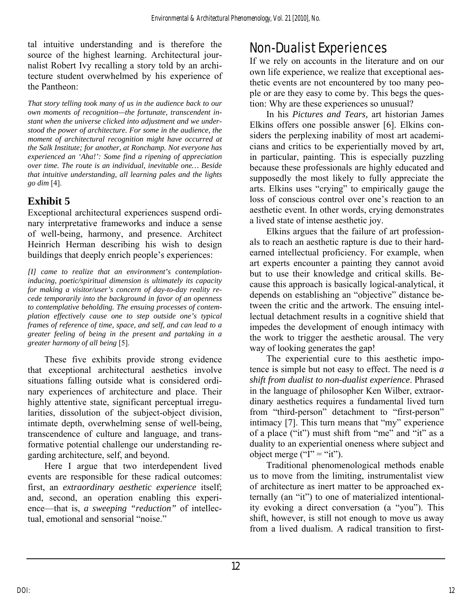tal intuitive understanding and is therefore the source of the highest learning. Architectural journalist Robert Ivy recalling a story told by an architecture student overwhelmed by his experience of the Pantheon:

*That story telling took many of us in the audience back to our own moments of recognition—the fortunate, transcendent instant when the universe clicked into adjustment and we understood the power of architecture. For some in the audience, the moment of architectural recognition might have occurred at the Salk Institute; for another, at Ronchamp. Not everyone has experienced an 'Aha!': Some find a ripening of appreciation over time. The route is an individual, inevitable one… Beside that intuitive understanding, all learning pales and the lights go dim* [4].

### **Exhibit 5**

Exceptional architectural experiences suspend ordinary interpretative frameworks and induce a sense of well-being, harmony, and presence. Architect Heinrich Herman describing his wish to design buildings that deeply enrich people's experiences:

*[I] came to realize that an environment's contemplationinducing, poetic/spiritual dimension is ultimately its capacity for making a visitor/user's concern of day-to-day reality recede temporarily into the background in favor of an openness to contemplative beholding. The ensuing processes of contemplation effectively cause one to step outside one's typical frames of reference of time, space, and self, and can lead to a greater feeling of being in the present and partaking in a greater harmony of all being* [5].

These five exhibits provide strong evidence that exceptional architectural aesthetics involve situations falling outside what is considered ordinary experiences of architecture and place. Their highly attentive state, significant perceptual irregularities, dissolution of the subject-object division. intimate depth, overwhelming sense of well-being, transcendence of culture and language, and transformative potential challenge our understanding regarding architecture, self, and beyond.

Here I argue that two interdependent lived events are responsible for these radical outcomes: first, an *extraordinary aesthetic experience* itself; and, second, an operation enabling this experience—that is, *a sweeping "reduction"* of intellectual, emotional and sensorial "noise."

## Non-Dualist Experiences

If we rely on accounts in the literature and on our own life experience, we realize that exceptional aesthetic events are not encountered by too many people or are they easy to come by. This begs the question: Why are these experiences so unusual?

In his *Pictures and Tears,* art historian James Elkins offers one possible answer [6]. Elkins considers the perplexing inability of most art academicians and critics to be experientially moved by art, in particular, painting. This is especially puzzling because these professionals are highly educated and supposedly the most likely to fully appreciate the arts. Elkins uses "crying" to empirically gauge the loss of conscious control over one's reaction to an aesthetic event. In other words, crying demonstrates a lived state of intense aesthetic joy.

Elkins argues that the failure of art professionals to reach an aesthetic rapture is due to their hardearned intellectual proficiency. For example, when art experts encounter a painting they cannot avoid but to use their knowledge and critical skills. Because this approach is basically logical-analytical, it depends on establishing an "objective" distance between the critic and the artwork. The ensuing intellectual detachment results in a cognitive shield that impedes the development of enough intimacy with the work to trigger the aesthetic arousal. The very way of looking generates the gap!

The experiential cure to this aesthetic impotence is simple but not easy to effect. The need is *a shift from dualist to non-dualist experience*. Phrased in the language of philosopher Ken Wilber, extraordinary aesthetics requires a fundamental lived turn from "third-person" detachment to "first-person" intimacy [7]. This turn means that "my" experience of a place ("it") must shift from "me" and "it" as a duality to an experiential oneness where subject and object merge  $("I" = "it")$ .

Traditional phenomenological methods enable us to move from the limiting, instrumentalist view of architecture as inert matter to be approached externally (an "it") to one of materialized intentionality evoking a direct conversation (a "you"). This shift, however, is still not enough to move us away from a lived dualism. A radical transition to first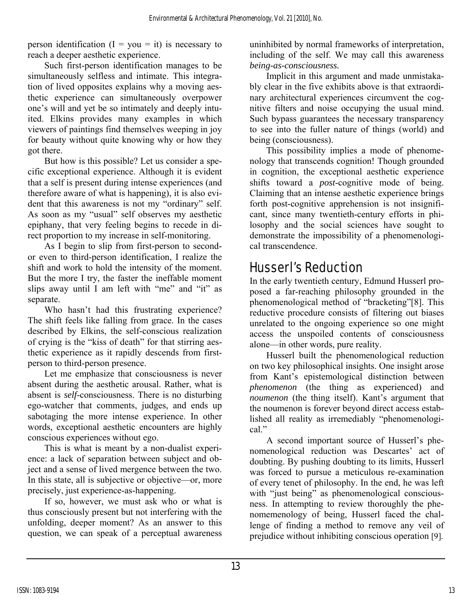person identification  $(I = you = it)$  is necessary to reach a deeper aesthetic experience.

Such first-person identification manages to be simultaneously selfless and intimate. This integration of lived opposites explains why a moving aesthetic experience can simultaneously overpower one's will and yet be so intimately and deeply intuited. Elkins provides many examples in which viewers of paintings find themselves weeping in joy for beauty without quite knowing why or how they got there.

But how is this possible? Let us consider a specific exceptional experience. Although it is evident that a self is present during intense experiences (and therefore aware of what is happening), it is also evident that this awareness is not my "ordinary" self. As soon as my "usual" self observes my aesthetic epiphany, that very feeling begins to recede in direct proportion to my increase in self-monitoring.

As I begin to slip from first-person to secondor even to third-person identification, I realize the shift and work to hold the intensity of the moment. But the more I try, the faster the ineffable moment slips away until I am left with "me" and "it" as separate.

Who hasn't had this frustrating experience? The shift feels like falling from grace. In the cases described by Elkins, the self-conscious realization of crying is the "kiss of death" for that stirring aesthetic experience as it rapidly descends from firstperson to third-person presence.

Let me emphasize that consciousness is never absent during the aesthetic arousal. Rather, what is absent is *self*-consciousness. There is no disturbing ego-watcher that comments, judges, and ends up sabotaging the more intense experience. In other words, exceptional aesthetic encounters are highly conscious experiences without ego.

This is what is meant by a non-dualist experience: a lack of separation between subject and object and a sense of lived mergence between the two. In this state, all is subjective or objective—or, more precisely, just experience-as-happening.

If so, however, we must ask who or what is thus consciously present but not interfering with the unfolding, deeper moment? As an answer to this question, we can speak of a perceptual awareness uninhibited by normal frameworks of interpretation, including of the self. We may call this awareness *being-as-consciousness.*

Implicit in this argument and made unmistakably clear in the five exhibits above is that extraordinary architectural experiences circumvent the cognitive filters and noise occupying the usual mind. Such bypass guarantees the necessary transparency to see into the fuller nature of things (world) and being (consciousness).

This possibility implies a mode of phenomenology that transcends cognition! Though grounded in cognition, the exceptional aesthetic experience shifts toward a *post*-cognitive mode of being. Claiming that an intense aesthetic experience brings forth post-cognitive apprehension is not insignificant, since many twentieth-century efforts in philosophy and the social sciences have sought to demonstrate the impossibility of a phenomenological transcendence.

## Husserl's Reduction

In the early twentieth century, Edmund Husserl proposed a far-reaching philosophy grounded in the phenomenological method of "bracketing"[8]. This reductive procedure consists of filtering out biases unrelated to the ongoing experience so one might access the unspoiled contents of consciousness alone—in other words, pure reality.

Husserl built the phenomenological reduction on two key philosophical insights. One insight arose from Kant's epistemological distinction between *phenomenon* (the thing as experienced) and *noumenon* (the thing itself). Kant's argument that the noumenon is forever beyond direct access established all reality as irremediably "phenomenological"

A second important source of Husserl's phenomenological reduction was Descartes' act of doubting. By pushing doubting to its limits, Husserl was forced to pursue a meticulous re-examination of every tenet of philosophy. In the end, he was left with "just being" as phenomenological consciousness. In attempting to review thoroughly the phenomemenology of being, Husserl faced the challenge of finding a method to remove any veil of prejudice without inhibiting conscious operation [9].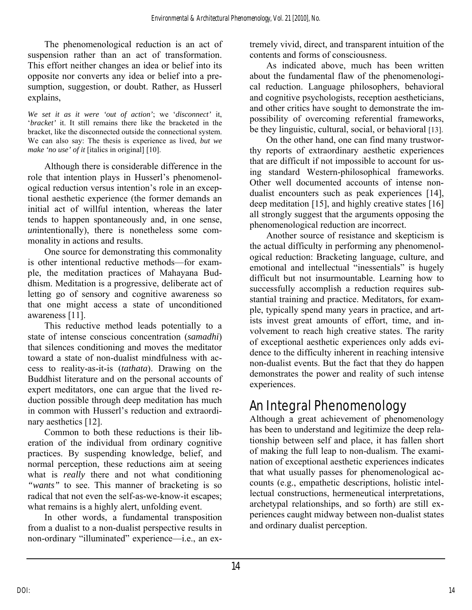The phenomenological reduction is an act of suspension rather than an act of transformation. This effort neither changes an idea or belief into its opposite nor converts any idea or belief into a presumption, suggestion, or doubt. Rather, as Husserl explains,

*We set it as it were 'out of action'*; we '*disconnect'* it, '*bracket'* it. It still remains there like the bracketed in the bracket, like the disconnected outside the connectional system. We can also say: The thesis is experience as lived, *but we make 'no use' of it* [italics in original] [10].

Although there is considerable difference in the role that intention plays in Husserl's phenomenological reduction versus intention's role in an exceptional aesthetic experience (the former demands an initial act of willful intention, whereas the later tends to happen spontaneously and, in one sense, *unintentionally*), there is nonetheless some commonality in actions and results.

One source for demonstrating this commonality is other intentional reductive methods—for example, the meditation practices of Mahayana Buddhism. Meditation is a progressive, deliberate act of letting go of sensory and cognitive awareness so that one might access a state of unconditioned awareness [11].

This reductive method leads potentially to a state of intense conscious concentration (*samadhi*) that silences conditioning and moves the meditator toward a state of non-dualist mindfulness with access to reality-as-it-is (*tathata*). Drawing on the Buddhist literature and on the personal accounts of expert meditators, one can argue that the lived reduction possible through deep meditation has much in common with Husserl's reduction and extraordinary aesthetics [12].

Common to both these reductions is their liberation of the individual from ordinary cognitive practices. By suspending knowledge, belief, and normal perception, these reductions aim at seeing what is *really* there and not what conditioning *"wants"* to see. This manner of bracketing is so radical that not even the self-as-we-know-it escapes; what remains is a highly alert, unfolding event.

In other words, a fundamental transposition from a dualist to a non-dualist perspective results in non-ordinary "illuminated" experience—i.e., an extremely vivid, direct, and transparent intuition of the contents and forms of consciousness.

As indicated above, much has been written about the fundamental flaw of the phenomenological reduction. Language philosophers, behavioral and cognitive psychologists, reception aestheticians, and other critics have sought to demonstrate the impossibility of overcoming referential frameworks, be they linguistic, cultural, social, or behavioral [13].

On the other hand, one can find many trustworthy reports of extraordinary aesthetic experiences that are difficult if not impossible to account for using standard Western-philosophical frameworks. Other well documented accounts of intense nondualist encounters such as peak experiences [14], deep meditation [15], and highly creative states [16] all strongly suggest that the arguments opposing the phenomenological reduction are incorrect.

Another source of resistance and skepticism is the actual difficulty in performing any phenomenological reduction: Bracketing language, culture, and emotional and intellectual "inessentials" is hugely difficult but not insurmountable. Learning how to successfully accomplish a reduction requires substantial training and practice. Meditators, for example, typically spend many years in practice, and artists invest great amounts of effort, time, and involvement to reach high creative states. The rarity of exceptional aesthetic experiences only adds evidence to the difficulty inherent in reaching intensive non-dualist events. But the fact that they do happen demonstrates the power and reality of such intense experiences.

## An Integral Phenomenology

Although a great achievement of phenomenology has been to understand and legitimize the deep relationship between self and place, it has fallen short of making the full leap to non-dualism. The examination of exceptional aesthetic experiences indicates that what usually passes for phenomenological accounts (e.g., empathetic descriptions, holistic intellectual constructions, hermeneutical interpretations, archetypal relationships, and so forth) are still experiences caught midway between non-dualist states and ordinary dualist perception.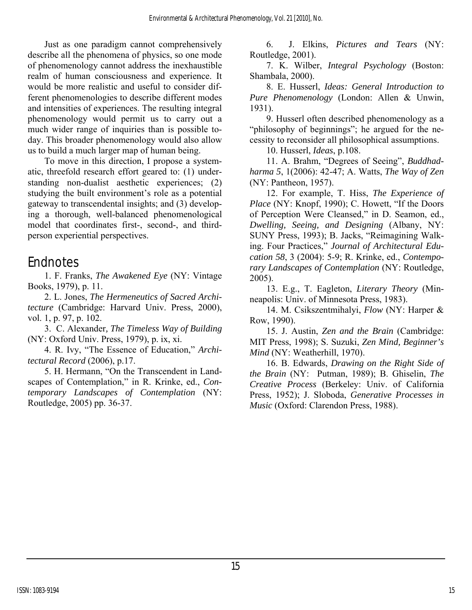Just as one paradigm cannot comprehensively describe all the phenomena of physics, so one mode of phenomenology cannot address the inexhaustible realm of human consciousness and experience. It would be more realistic and useful to consider different phenomenologies to describe different modes and intensities of experiences. The resulting integral phenomenology would permit us to carry out a much wider range of inquiries than is possible today. This broader phenomenology would also allow us to build a much larger map of human being.

To move in this direction, I propose a systematic, threefold research effort geared to: (1) understanding non-dualist aesthetic experiences; (2) studying the built environment's role as a potential gateway to transcendental insights; and (3) developing a thorough, well-balanced phenomenological model that coordinates first-, second-, and thirdperson experiential perspectives.

## **Endnotes**

1. F. Franks, *The Awakened Eye* (NY: Vintage Books, 1979), p. 11.

2. L. Jones, *The Hermeneutics of Sacred Architecture* (Cambridge: Harvard Univ. Press, 2000), vol. 1, p. 97, p. 102.

3. C. Alexander*, The Timeless Way of Building* (NY: Oxford Univ. Press, 1979), p. ix, xi.

4. R. Ivy, "The Essence of Education," *Architectural Record* (2006), p.17.

5. H. Hermann, "On the Transcendent in Landscapes of Contemplation," in R. Krinke, ed., *Contemporary Landscapes of Contemplation* (NY: Routledge, 2005) pp. 36-37.

6. J. Elkins, *Pictures and Tears* (NY: Routledge, 2001).

7. K. Wilber, *Integral Psychology* (Boston: Shambala, 2000).

8. E. Husserl, *Ideas: General Introduction to Pure Phenomenology* (London: Allen & Unwin, 1931).

9. Husserl often described phenomenology as a "philosophy of beginnings"; he argued for the necessity to reconsider all philosophical assumptions.

10. Husserl, *Ideas*, p.108.

11. A. Brahm, "Degrees of Seeing", *Buddhadharma 5*, 1(2006): 42-47; A. Watts, *The Way of Zen* (NY: Pantheon, 1957).

12. For example, T. Hiss, *The Experience of Place* (NY: Knopf, 1990); C. Howett, "If the Doors of Perception Were Cleansed," in D. Seamon, ed., *Dwelling, Seeing, and Designing* (Albany, NY: SUNY Press, 1993); B. Jacks, "Reimagining Walking. Four Practices," *Journal of Architectural Education 58*, 3 (2004): 5-9; R. Krinke, ed., *Contemporary Landscapes of Contemplation* (NY: Routledge, 2005).

13. E.g., T. Eagleton, *Literary Theory* (Minneapolis: Univ. of Minnesota Press, 1983).

14. M. Csikszentmihalyi, *Flow* (NY: Harper & Row, 1990).

15. J. Austin, *Zen and the Brain* (Cambridge: MIT Press, 1998); S. Suzuki, *Zen Mind, Beginner's Mind* (NY: Weatherhill, 1970).

16. B. Edwards, *Drawing on the Right Side of the Brain* (NY: Putman, 1989); B. Ghiselin, *The Creative Process* (Berkeley: Univ. of California Press, 1952); J. Sloboda, *Generative Processes in Music* (Oxford: Clarendon Press, 1988).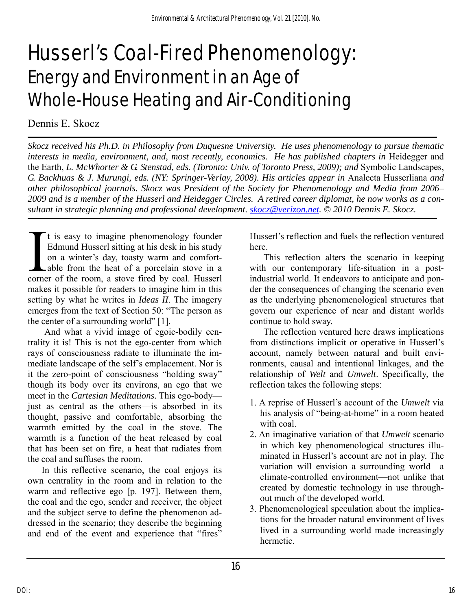## Husserl's Coal-Fired Phenomenology: Energy and Environment in an Age of Whole-House Heating and Air-Conditioning

Dennis E. Skocz

*Skocz received his Ph.D. in Philosophy from Duquesne University. He uses phenomenology to pursue thematic*  interests in media, environment, and, most recently, economics. He has published chapters in Heidegger and the Earth, *L. McWhorter & G. Stenstad, eds. (Toronto: Univ. of Toronto Press, 2009); and* Symbolic Landscapes, *G. Backhuas & J. Murungi, eds. (NY: Springer-Verlay, 2008). His articles appear in* Analecta Husserliana *and other philosophical journals. Skocz was President of the Society for Phenomenology and Media from 2006– 2009 and is a member of the Husserl and Heidegger Circles. A retired career diplomat, he now works as a consultant in strategic planning and professional development. [skocz@verizon.net](mailto:skocz@verizon.net). © 2010 Dennis E. Skocz.* 

t is easy to imagine phenomenology founder Edmund Husserl sitting at his desk in his study on a winter's day, toasty warm and comfortable from the heat of a porcelain stove in a It is easy to imagine phenomenology founder<br>Edmund Husserl sitting at his desk in his study<br>on a winter's day, toasty warm and comfort-<br>able from the heat of a porcelain stove in a<br>corner of the room, a stove fired by coal makes it possible for readers to imagine him in this setting by what he writes in *Ideas II*. The imagery emerges from the text of Section 50: "The person as the center of a surrounding world" [1].

And what a vivid image of egoic-bodily centrality it is! This is not the ego-center from which rays of consciousness radiate to illuminate the immediate landscape of the self's emplacement. Nor is it the zero-point of consciousness "holding sway" though its body over its environs, an ego that we meet in the *Cartesian Meditations.* This ego-body just as central as the others—is absorbed in its thought, passive and comfortable, absorbing the warmth emitted by the coal in the stove. The warmth is a function of the heat released by coal that has been set on fire, a heat that radiates from the coal and suffuses the room.

In this reflective scenario, the coal enjoys its own centrality in the room and in relation to the warm and reflective ego [p. 197]. Between them, the coal and the ego, sender and receiver, the object and the subject serve to define the phenomenon addressed in the scenario; they describe the beginning and end of the event and experience that "fires"

Husserl's reflection and fuels the reflection ventured here.

This reflection alters the scenario in keeping with our contemporary life-situation in a postindustrial world. It endeavors to anticipate and ponder the consequences of changing the scenario even as the underlying phenomenological structures that govern our experience of near and distant worlds continue to hold sway.

The reflection ventured here draws implications from distinctions implicit or operative in Husserl's account, namely between natural and built environments, causal and intentional linkages, and the relationship of *Welt* and *Umwelt*. Specifically, the reflection takes the following steps:

- 1. A reprise of Husserl's account of the *Umwelt* via his analysis of "being-at-home" in a room heated with coal.
- 2. An imaginative variation of that *Umwelt* scenario in which key phenomenological structures illuminated in Husserl's account are not in play. The variation will envision a surrounding world—a climate-controlled environment—not unlike that created by domestic technology in use throughout much of the developed world.
- 3. Phenomenological speculation about the implications for the broader natural environment of lives lived in a surrounding world made increasingly hermetic.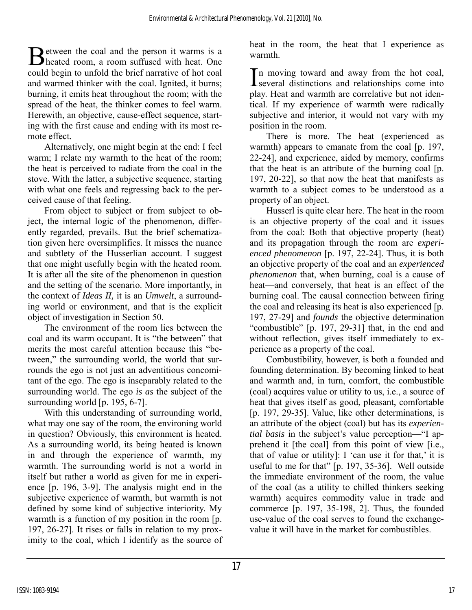etween the coal and the person it warms is a Between the coal and the person it warms is a heated room, a room suffused with heat. One could begin to unfold the brief narrative of hot coal and warmed thinker with the coal. Ignited, it burns; burning, it emits heat throughout the room; with the spread of the heat, the thinker comes to feel warm. Herewith, an objective, cause-effect sequence, starting with the first cause and ending with its most remote effect.

Alternatively, one might begin at the end: I feel warm; I relate my warmth to the heat of the room; the heat is perceived to radiate from the coal in the stove. With the latter, a subjective sequence, starting with what one feels and regressing back to the perceived cause of that feeling.

From object to subject or from subject to object, the internal logic of the phenomenon, differently regarded, prevails. But the brief schematization given here oversimplifies. It misses the nuance and subtlety of the Husserlian account. I suggest that one might usefully begin with the heated room. It is after all the site of the phenomenon in question and the setting of the scenario. More importantly, in the context of *Ideas II,* it is an *Umwelt*, a surrounding world or environment, and that is the explicit object of investigation in Section 50.

The environment of the room lies between the coal and its warm occupant. It is "the between" that merits the most careful attention because this "between," the surrounding world, the world that surrounds the ego is not just an adventitious concomitant of the ego. The ego is inseparably related to the surrounding world. The ego *is as* the subject of the surrounding world [p. 195, 6-7].

With this understanding of surrounding world, what may one say of the room, the environing world in question? Obviously, this environment is heated. As a surrounding world, its being heated is known in and through the experience of warmth, my warmth. The surrounding world is not a world in itself but rather a world as given for me in experience [p. 196, 3-9]. The analysis might end in the subjective experience of warmth, but warmth is not defined by some kind of subjective interiority. My warmth is a function of my position in the room [p. 197, 26-27]. It rises or falls in relation to my proximity to the coal, which I identify as the source of heat in the room, the heat that I experience as warmth.

In moving toward and away from the hot coal, In moving toward and away from the hot coal,<br>several distinctions and relationships come into play. Heat and warmth are correlative but not identical. If my experience of warmth were radically subjective and interior, it would not vary with my position in the room.

There is more. The heat (experienced as warmth) appears to emanate from the coal [p. 197, 22-24], and experience, aided by memory, confirms that the heat is an attribute of the burning coal [p. 197, 20-22], so that now the heat that manifests as warmth to a subject comes to be understood as a property of an object.

Husserl is quite clear here. The heat in the room is an objective property of the coal and it issues from the coal: Both that objective property (heat) and its propagation through the room are *experienced phenomenon* [p. 197, 22-24]. Thus, it is both an objective property of the coal and an *experienced phenomenon* that, when burning, coal is a cause of heat—and conversely, that heat is an effect of the burning coal. The causal connection between firing the coal and releasing its heat is also experienced [p. 197, 27-29] and *founds* the objective determination "combustible" [p. 197, 29-31] that, in the end and without reflection, gives itself immediately to experience as a property of the coal.

Combustibility, however, is both a founded and founding determination. By becoming linked to heat and warmth and, in turn, comfort, the combustible (coal) acquires value or utility to us, i.e., a source of heat that gives itself as good, pleasant, comfortable [p. 197, 29-35]. Value, like other determinations, is an attribute of the object (coal) but has its *experiential basis* in the subject's value perception—"I apprehend it [the coal] from this point of view [i.e., that of value or utility]: I 'can use it for that,' it is useful to me for that" [p. 197, 35-36]. Well outside the immediate environment of the room, the value of the coal (as a utility to chilled thinkers seeking warmth) acquires commodity value in trade and commerce [p. 197, 35-198, 2]. Thus, the founded use-value of the coal serves to found the exchangevalue it will have in the market for combustibles.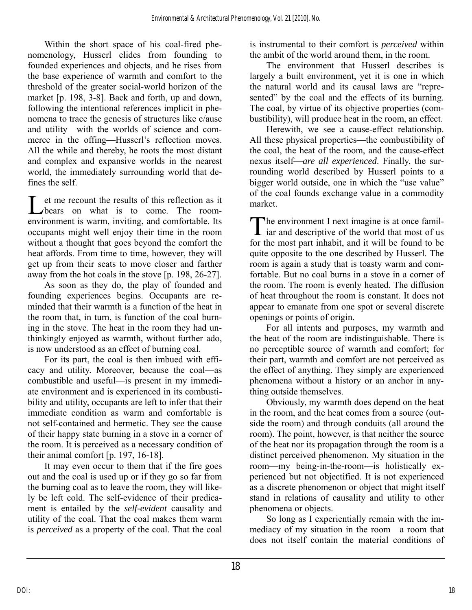Within the short space of his coal-fired phenomenology, Husserl elides from founding to founded experiences and objects, and he rises from the base experience of warmth and comfort to the threshold of the greater social-world horizon of the market [p. 198, 3-8]. Back and forth, up and down, following the intentional references implicit in phenomena to trace the genesis of structures like c/ause and utility—with the worlds of science and commerce in the offing—Husserl's reflection moves. All the while and thereby, he roots the most distant and complex and expansive worlds in the nearest world, the immediately surrounding world that defines the self.

et me recount the results of this reflection as it Let me recount the results of this reflection as it<br>bears on what is to come. The roomenvironment is warm, inviting, and comfortable. Its occupants might well enjoy their time in the room without a thought that goes beyond the comfort the heat affords. From time to time, however, they will get up from their seats to move closer and farther away from the hot coals in the stove [p. 198, 26-27].

As soon as they do, the play of founded and founding experiences begins. Occupants are reminded that their warmth is a function of the heat in the room that, in turn, is function of the coal burning in the stove. The heat in the room they had unthinkingly enjoyed as warmth, without further ado, is now understood as an effect of burning coal.

For its part, the coal is then imbued with efficacy and utility. Moreover, because the coal—as combustible and useful—is present in my immediate environment and is experienced in its combustibility and utility, occupants are left to infer that their immediate condition as warm and comfortable is not self-contained and hermetic. They *see* the cause of their happy state burning in a stove in a corner of the room. It is perceived as a necessary condition of their animal comfort [p. 197, 16-18].

It may even occur to them that if the fire goes out and the coal is used up or if they go so far from the burning coal as to leave the room, they will likely be left cold. The self-evidence of their predicament is entailed by the *self-evident* causality and utility of the coal. That the coal makes them warm is *perceived* as a property of the coal. That the coal is instrumental to their comfort is *perceived* within the ambit of the world around them, in the room.

The environment that Husserl describes is largely a built environment, yet it is one in which the natural world and its causal laws are "represented" by the coal and the effects of its burning. The coal, by virtue of its objective properties (combustibility), will produce heat in the room, an effect.

Herewith, we see a cause-effect relationship. All these physical properties—the combustibility of the coal, the heat of the room, and the cause-effect nexus itself—*are all experienced*. Finally, the surrounding world described by Husserl points to a bigger world outside, one in which the "use value" of the coal founds exchange value in a commodity market.

he environment I next imagine is at once famil-The environment I next imagine is at once famil-<br>iar and descriptive of the world that most of us for the most part inhabit, and it will be found to be quite opposite to the one described by Husserl. The room is again a study that is toasty warm and comfortable. But no coal burns in a stove in a corner of the room. The room is evenly heated. The diffusion of heat throughout the room is constant. It does not appear to emanate from one spot or several discrete openings or points of origin.

For all intents and purposes, my warmth and the heat of the room are indistinguishable. There is no perceptible source of warmth and comfort; for their part, warmth and comfort are not perceived as the effect of anything. They simply are experienced phenomena without a history or an anchor in anything outside themselves.

Obviously, my warmth does depend on the heat in the room, and the heat comes from a source (outside the room) and through conduits (all around the room). The point, however, is that neither the source of the heat nor its propagation through the room is a distinct perceived phenomenon. My situation in the room—my being-in-the-room—is holistically experienced but not objectified. It is not experienced as a discrete phenomenon or object that might itself stand in relations of causality and utility to other phenomena or objects.

So long as I experientially remain with the immediacy of my situation in the room—a room that does not itself contain the material conditions of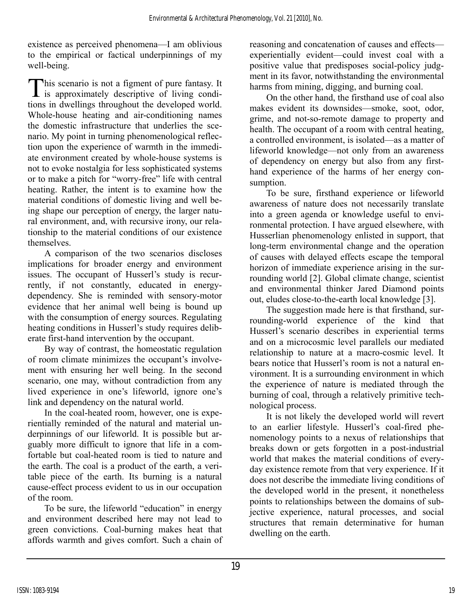existence as perceived phenomena—I am oblivious to the empirical or factical underpinnings of my well-being.

This scenario is not a figment of pure fantasy. It is approximately descriptive of living condi-**L** is approximately descriptive of living conditions in dwellings throughout the developed world. Whole-house heating and air-conditioning names the domestic infrastructure that underlies the scenario. My point in turning phenomenological reflection upon the experience of warmth in the immediate environment created by whole-house systems is not to evoke nostalgia for less sophisticated systems or to make a pitch for "worry-free" life with central heating. Rather, the intent is to examine how the material conditions of domestic living and well being shape our perception of energy, the larger natural environment, and, with recursive irony, our relationship to the material conditions of our existence themselves.

A comparison of the two scenarios discloses implications for broader energy and environment issues. The occupant of Husserl's study is recurrently, if not constantly, educated in energydependency. She is reminded with sensory-motor evidence that her animal well being is bound up with the consumption of energy sources. Regulating heating conditions in Husserl's study requires deliberate first-hand intervention by the occupant.

By way of contrast, the homeostatic regulation of room climate minimizes the occupant's involvement with ensuring her well being. In the second scenario, one may, without contradiction from any lived experience in one's lifeworld, ignore one's link and dependency on the natural world.

In the coal-heated room, however, one is experientially reminded of the natural and material underpinnings of our lifeworld. It is possible but arguably more difficult to ignore that life in a comfortable but coal-heated room is tied to nature and the earth. The coal is a product of the earth, a veritable piece of the earth. Its burning is a natural cause-effect process evident to us in our occupation of the room.

To be sure, the lifeworld "education" in energy and environment described here may not lead to green convictions. Coal-burning makes heat that affords warmth and gives comfort. Such a chain of reasoning and concatenation of causes and effects experientially evident—could invest coal with a positive value that predisposes social-policy judgment in its favor, notwithstanding the environmental harms from mining, digging, and burning coal.

On the other hand, the firsthand use of coal also makes evident its downsides—smoke, soot, odor, grime, and not-so-remote damage to property and health. The occupant of a room with central heating, a controlled environment, is isolated—as a matter of lifeworld knowledge—not only from an awareness of dependency on energy but also from any firsthand experience of the harms of her energy consumption.

To be sure, firsthand experience or lifeworld awareness of nature does not necessarily translate into a green agenda or knowledge useful to environmental protection. I have argued elsewhere, with Husserlian phenomenology enlisted in support, that long-term environmental change and the operation of causes with delayed effects escape the temporal horizon of immediate experience arising in the surrounding world [2]. Global climate change, scientist and environmental thinker Jared Diamond points out, eludes close-to-the-earth local knowledge [3].

The suggestion made here is that firsthand, surrounding-world experience of the kind that Husserl's scenario describes in experiential terms and on a microcosmic level parallels our mediated relationship to nature at a macro-cosmic level. It bears notice that Husserl's room is not a natural environment. It is a surrounding environment in which the experience of nature is mediated through the burning of coal, through a relatively primitive technological process.

It is not likely the developed world will revert to an earlier lifestyle. Husserl's coal-fired phenomenology points to a nexus of relationships that breaks down or gets forgotten in a post-industrial world that makes the material conditions of everyday existence remote from that very experience. If it does not describe the immediate living conditions of the developed world in the present, it nonetheless points to relationships between the domains of subjective experience, natural processes, and social structures that remain determinative for human dwelling on the earth.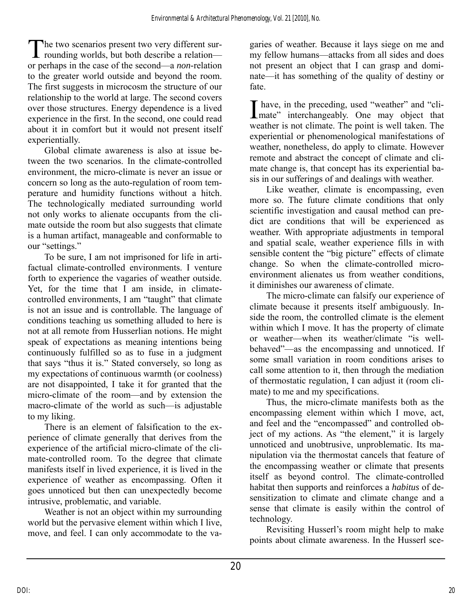The two scenarios present two very different sur-<br>rounding worlds, but both describe a relation- $\blacksquare$  rounding worlds, but both describe a relation or perhaps in the case of the second—a *non-*relation to the greater world outside and beyond the room. The first suggests in microcosm the structure of our relationship to the world at large. The second covers over those structures. Energy dependence is a lived experience in the first. In the second, one could read about it in comfort but it would not present itself experientially.

Global climate awareness is also at issue between the two scenarios. In the climate-controlled environment, the micro-climate is never an issue or concern so long as the auto-regulation of room temperature and humidity functions without a hitch. The technologically mediated surrounding world not only works to alienate occupants from the climate outside the room but also suggests that climate is a human artifact, manageable and conformable to our "settings."

To be sure, I am not imprisoned for life in artifactual climate-controlled environments. I venture forth to experience the vagaries of weather outside. Yet, for the time that I am inside, in climatecontrolled environments, I am "taught" that climate is not an issue and is controllable. The language of conditions teaching us something alluded to here is not at all remote from Husserlian notions. He might speak of expectations as meaning intentions being continuously fulfilled so as to fuse in a judgment that says "thus it is." Stated conversely, so long as my expectations of continuous warmth (or coolness) are not disappointed, I take it for granted that the micro-climate of the room—and by extension the macro-climate of the world as such—is adjustable to my liking.

 There is an element of falsification to the experience of climate generally that derives from the experience of the artificial micro-climate of the climate-controlled room. To the degree that climate manifests itself in lived experience, it is lived in the experience of weather as encompassing. Often it goes unnoticed but then can unexpectedly become intrusive, problematic, and variable.

Weather is not an object within my surrounding world but the pervasive element within which I live, move, and feel. I can only accommodate to the vagaries of weather. Because it lays siege on me and my fellow humans—attacks from all sides and does not present an object that I can grasp and dominate—it has something of the quality of destiny or fate.

 have, in the preceding, used "weather" and "cli-I have, in the preceding, used "weather" and "cli-<br>mate" interchangeably. One may object that weather is not climate. The point is well taken. The experiential or phenomenological manifestations of weather, nonetheless, do apply to climate. However remote and abstract the concept of climate and climate change is, that concept has its experiential basis in our sufferings of and dealings with weather.

Like weather, climate is encompassing, even more so. The future climate conditions that only scientific investigation and causal method can predict are conditions that will be experienced as weather. With appropriate adjustments in temporal and spatial scale, weather experience fills in with sensible content the "big picture" effects of climate change. So when the climate-controlled microenvironment alienates us from weather conditions, it diminishes our awareness of climate.

The micro-climate can falsify our experience of climate because it presents itself ambiguously. Inside the room, the controlled climate is the element within which I move. It has the property of climate or weather—when its weather/climate "is wellbehaved"—as the encompassing and unnoticed. If some small variation in room conditions arises to call some attention to it, then through the mediation of thermostatic regulation, I can adjust it (room climate) to me and my specifications.

Thus, the micro-climate manifests both as the encompassing element within which I move, act, and feel and the "encompassed" and controlled object of my actions. As "the element," it is largely unnoticed and unobtrusive, unproblematic. Its manipulation via the thermostat cancels that feature of the encompassing weather or climate that presents itself as beyond control. The climate-controlled habitat then supports and reinforces a *habitus* of desensitization to climate and climate change and a sense that climate is easily within the control of technology.

Revisiting Husserl's room might help to make points about climate awareness. In the Husserl sce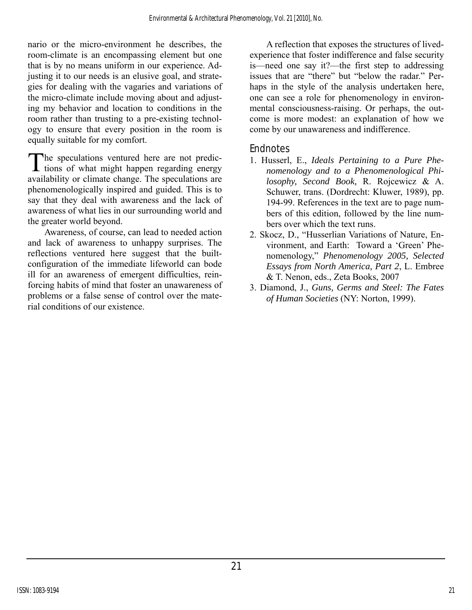nario or the micro-environment he describes, the room-climate is an encompassing element but one that is by no means uniform in our experience. Adjusting it to our needs is an elusive goal, and strategies for dealing with the vagaries and variations of the micro-climate include moving about and adjusting my behavior and location to conditions in the room rather than trusting to a pre-existing technology to ensure that every position in the room is equally suitable for my comfort.

The speculations ventured here are not predic-The speculations ventured here are not predic-<br>
1. Husserl, E., *Ideals Pertaining to a Pure Phe-*<br> *nomenology and to a Phenomenological Phi*availability or climate change. The speculations are phenomenologically inspired and guided. This is to say that they deal with awareness and the lack of awareness of what lies in our surrounding world and the greater world beyond.

Awareness, of course, can lead to needed action and lack of awareness to unhappy surprises. The reflections ventured here suggest that the builtconfiguration of the immediate lifeworld can bode ill for an awareness of emergent difficulties, reinforcing habits of mind that foster an unawareness of problems or a false sense of control over the material conditions of our existence.

A reflection that exposes the structures of livedexperience that foster indifference and false security is—need one say it?—the first step to addressing issues that are "there" but "below the radar." Perhaps in the style of the analysis undertaken here, one can see a role for phenomenology in environmental consciousness-raising. Or perhaps, the outcome is more modest: an explanation of how we come by our unawareness and indifference.

#### **Endnotes**

- *nomenology and to a Phenomenological Philosophy, Second Book,* R. Rojcewicz & A. Schuwer, trans. (Dordrecht: Kluwer, 1989), pp. 194-99. References in the text are to page numbers of this edition, followed by the line numbers over which the text runs.
- 2. Skocz, D., "Husserlian Variations of Nature, Environment, and Earth: Toward a 'Green' Phenomenology," *Phenomenology 2005, Selected Essays from North America, Part 2*, L. Embree & T. Nenon, eds., Zeta Books, 2007
- 3. Diamond, J., *Guns, Germs and Steel: The Fates of Human Societies* (NY: Norton, 1999).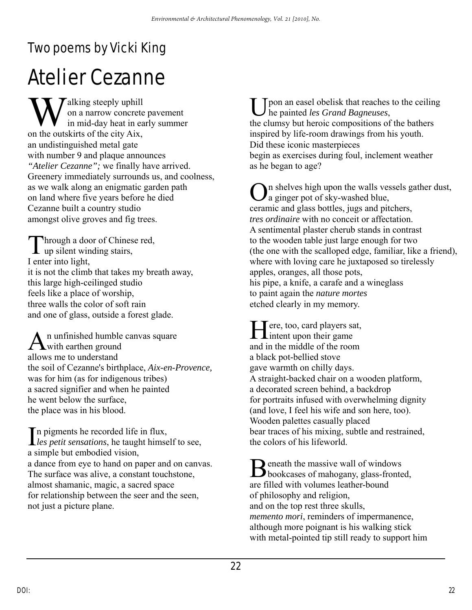## Two poems by Vicki King

# Atelier Cezanne

alking steeply uphill on a narrow concrete pavement in m id-day heat in early summer **W** on a narrow concrete<br>on the outskirts of the city Aix, an undistinguished metal gate with number 9 and plaque announces *"Atelier Cezanne";* we finally have arrived. Greenery immediately surrounds us, and coolness, as we walk along an enigmatic garden path on land where five years before he died Cezanne built a country studio amongst olive groves and fig trees.

hrough a door of Chinese red, Through a door of Chines<br>up silent winding stairs, I enter into light, it is not the climb that takes my breath away, this large high-ceilinged studio feels like a place of worship, three walls the color of soft rain and one of glass, outside a forest glade.

n unfinished humble canvas square  $A<sub>n</sub>$  unfinished humble<br>with earthen ground allows me to understand the soil of Cezanne's birthplace, *Aix-en-Provence,*  was for him (as for indigenous tribes) a sacred signifier and when he painted he went below the surface, the place was in his blood.

 $\blacksquare$  n pigments he recorded life in flux, In pigments he recorded life in flux,<br> *les petit sensations*, he taught himself to see, a sim ple but embodied vision, a dance from eye to hand on paper and on canvas. The surface was alive, a constant touchstone, almost shamanic, magic, a sacred space for relationship between the seer and the seen, not just a picture plane.

U pon an easel obelisk that reaches to the ceiling<br>he painted les Grand Bagneuses, the cl umsy but heroic compositions of the bathers he painted *les Grand Bagneuses*, inspired by life-room drawings from his youth. Did these iconic masterpieces begin as exercises during foul, inclement weather as he began to age?

n shelves high upon the walls vessels gather dust, ceram ic and glass bottles, jugs and pitchers,  $\mathbf{O}$  a ginger pot of sky-washed blue, *tres ordinaire* with no conceit or affectation. A sentimental plaster cherub stands in contrast to the wooden table just large enough for two (the one with the scalloped edge, familiar, like a friend), where with loving care he juxtaposed so tirelessly apples, oranges, all those pots, his pipe, a knife, a carafe and a wineglass to paint again the *nature mortes* etched clearly in my memory.

 $\Gamma$  ere, too, card players sat, and in the middle of the room Here, too, card players sand players sand their game a black pot-bellied stove gave warmth on chilly days. A straight-backed chair on a wooden platform, a decorated screen behind, a backdrop for portraits infused with overwhelming dignity (and love, I feel his wife and son here, too). Wooden palettes casually placed bear traces of his mixing, subtle and restrained, the colors of his lifeworld.

**P** eneath the massive wall of windows are fi lled with volumes leather-bound **B** eneath the massive wall of windows<br>bookcases of mahogany, glass-fronted, of philosophy and religion, and on the top rest three skulls, *memento mori*, reminders of impermanence, although more poignant is his walking stick with metal-pointed tip still ready to support him